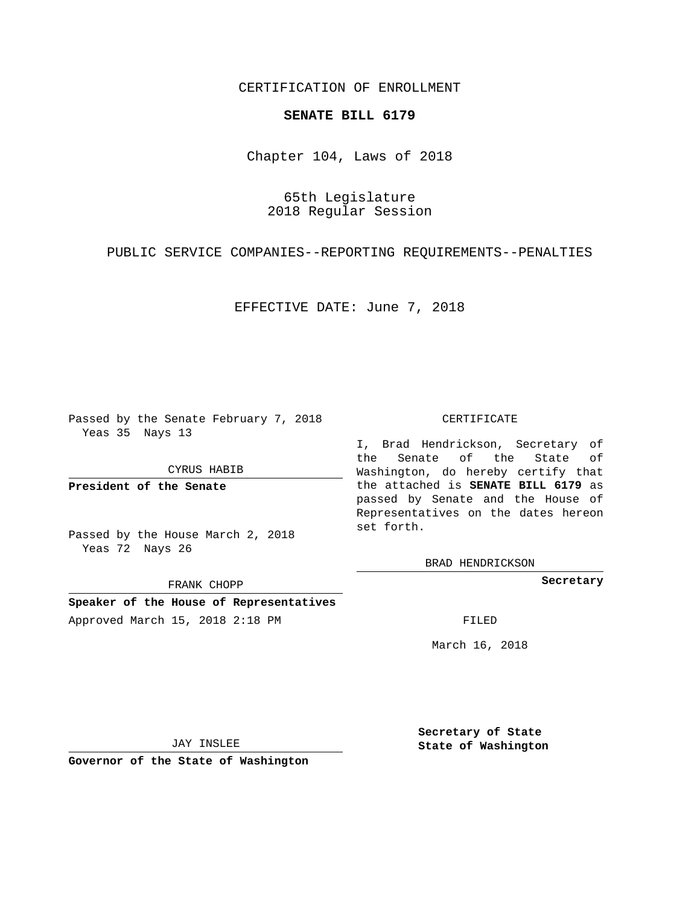## CERTIFICATION OF ENROLLMENT

## **SENATE BILL 6179**

Chapter 104, Laws of 2018

65th Legislature 2018 Regular Session

PUBLIC SERVICE COMPANIES--REPORTING REQUIREMENTS--PENALTIES

EFFECTIVE DATE: June 7, 2018

Passed by the Senate February 7, 2018 Yeas 35 Nays 13

CYRUS HABIB

**President of the Senate**

Passed by the House March 2, 2018 Yeas 72 Nays 26

FRANK CHOPP

**Speaker of the House of Representatives** Approved March 15, 2018 2:18 PM FILED

## CERTIFICATE

I, Brad Hendrickson, Secretary of the Senate of the State of Washington, do hereby certify that the attached is **SENATE BILL 6179** as passed by Senate and the House of Representatives on the dates hereon set forth.

BRAD HENDRICKSON

**Secretary**

March 16, 2018

JAY INSLEE

**Governor of the State of Washington**

**Secretary of State State of Washington**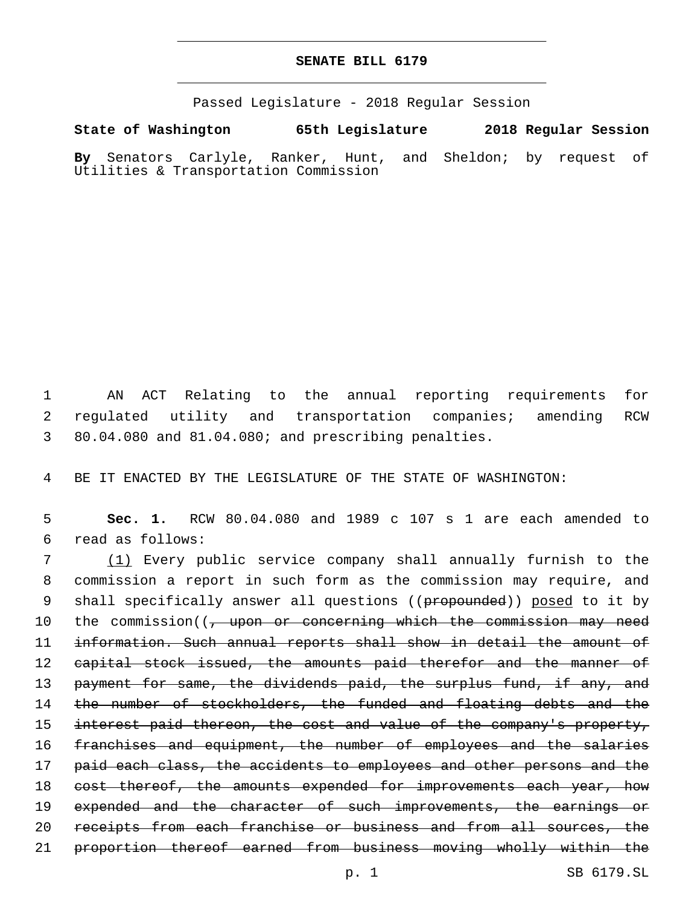## **SENATE BILL 6179**

Passed Legislature - 2018 Regular Session

**State of Washington 65th Legislature 2018 Regular Session By** Senators Carlyle, Ranker, Hunt, and Sheldon; by request of Utilities & Transportation Commission

1 AN ACT Relating to the annual reporting requirements for 2 regulated utility and transportation companies; amending RCW 3 80.04.080 and 81.04.080; and prescribing penalties.

4 BE IT ENACTED BY THE LEGISLATURE OF THE STATE OF WASHINGTON:

5 **Sec. 1.** RCW 80.04.080 and 1989 c 107 s 1 are each amended to read as follows:6

7 (1) Every public service company shall annually furnish to the 8 commission a report in such form as the commission may require, and 9 shall specifically answer all questions ((propounded)) posed to it by 10 the commission((, upon or concerning which the commission may need 11 information. Such annual reports shall show in detail the amount of 12 capital stock issued, the amounts paid therefor and the manner of 13 payment for same, the dividends paid, the surplus fund, if any, and 14 the number of stockholders, the funded and floating debts and the 15 interest paid thereon, the cost and value of the company's property, 16 franchises and equipment, the number of employees and the salaries 17 paid each class, the accidents to employees and other persons and the 18 cost thereof, the amounts expended for improvements each year, how 19 expended and the character of such improvements, the earnings or 20 receipts from each franchise or business and from all sources, the 21 proportion thereof earned from business moving wholly within the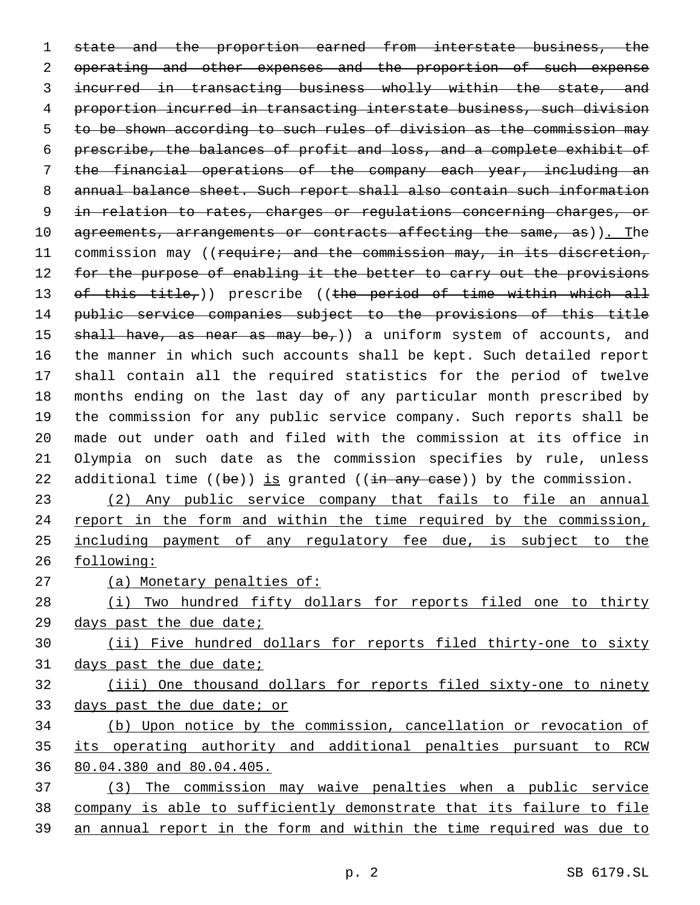state and the proportion earned from interstate business, the 2 operating and other expenses and the proportion of such expense 3 incurred in transacting business wholly within the state, and proportion incurred in transacting interstate business, such division to be shown according to such rules of division as the commission may prescribe, the balances of profit and loss, and a complete exhibit of the financial operations of the company each year, including an annual balance sheet. Such report shall also contain such information in relation to rates, charges or regulations concerning charges, or 10 agreements, arrangements or contracts affecting the same, as)). The 11 commission may ((require; and the commission may, in its discretion, 12 for the purpose of enabling it the better to carry out the provisions 13 of this title,)) prescribe ((the period of time within which all public service companies subject to the provisions of this title  $shall$  have, as near as may be,)) a uniform system of accounts, and the manner in which such accounts shall be kept. Such detailed report shall contain all the required statistics for the period of twelve months ending on the last day of any particular month prescribed by the commission for any public service company. Such reports shall be made out under oath and filed with the commission at its office in Olympia on such date as the commission specifies by rule, unless 22 additional time  $((be))$  is granted  $((in any case))$  by the commission. (2) Any public service company that fails to file an annual 24 report in the form and within the time required by the commission, including payment of any regulatory fee due, is subject to the following: 27 (a) Monetary penalties of: (i) Two hundred fifty dollars for reports filed one to thirty days past the due date; (ii) Five hundred dollars for reports filed thirty-one to sixty days past the due date; (iii) One thousand dollars for reports filed sixty-one to ninety days past the due date; or (b) Upon notice by the commission, cancellation or revocation of its operating authority and additional penalties pursuant to RCW 80.04.380 and 80.04.405. (3) The commission may waive penalties when a public service

company is able to sufficiently demonstrate that its failure to file

an annual report in the form and within the time required was due to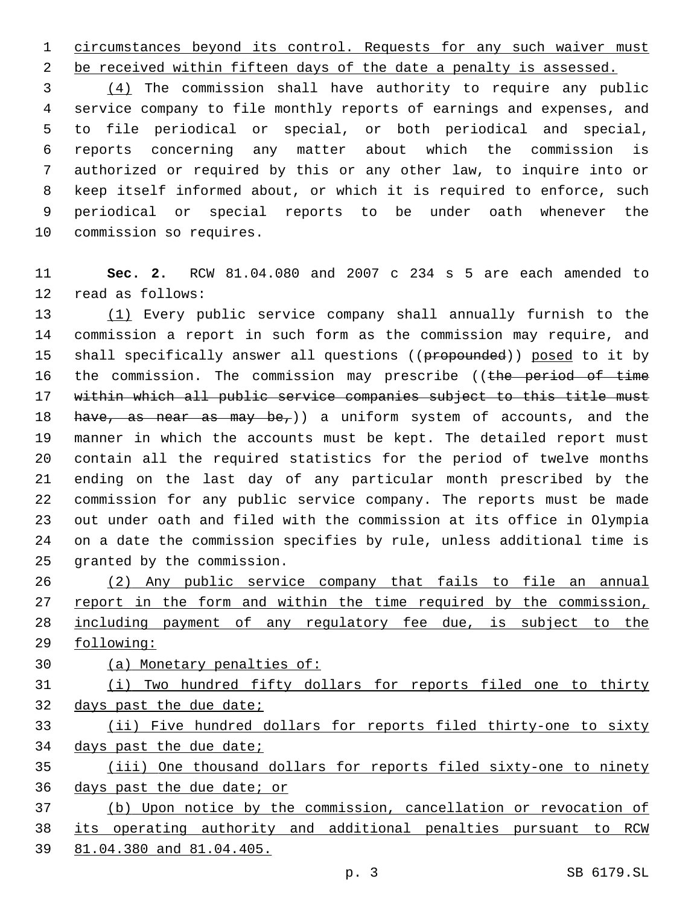circumstances beyond its control. Requests for any such waiver must

2 be received within fifteen days of the date a penalty is assessed.

 (4) The commission shall have authority to require any public service company to file monthly reports of earnings and expenses, and to file periodical or special, or both periodical and special, reports concerning any matter about which the commission is authorized or required by this or any other law, to inquire into or keep itself informed about, or which it is required to enforce, such periodical or special reports to be under oath whenever the 10 commission so requires.

 **Sec. 2.** RCW 81.04.080 and 2007 c 234 s 5 are each amended to 12 read as follows:

 (1) Every public service company shall annually furnish to the commission a report in such form as the commission may require, and 15 shall specifically answer all questions ((propounded)) posed to it by 16 the commission. The commission may prescribe ((the period of time within which all public service companies subject to this title must 18 have, as near as may be,  $)$  a uniform system of accounts, and the manner in which the accounts must be kept. The detailed report must contain all the required statistics for the period of twelve months ending on the last day of any particular month prescribed by the commission for any public service company. The reports must be made out under oath and filed with the commission at its office in Olympia on a date the commission specifies by rule, unless additional time is 25 granted by the commission.

 (2) Any public service company that fails to file an annual 27 report in the form and within the time required by the commission, including payment of any regulatory fee due, is subject to the following:

(a) Monetary penalties of:

 (i) Two hundred fifty dollars for reports filed one to thirty days past the due date;

 (ii) Five hundred dollars for reports filed thirty-one to sixty 34 days past the due date;

 (iii) One thousand dollars for reports filed sixty-one to ninety days past the due date; or

 (b) Upon notice by the commission, cancellation or revocation of its operating authority and additional penalties pursuant to RCW 81.04.380 and 81.04.405.